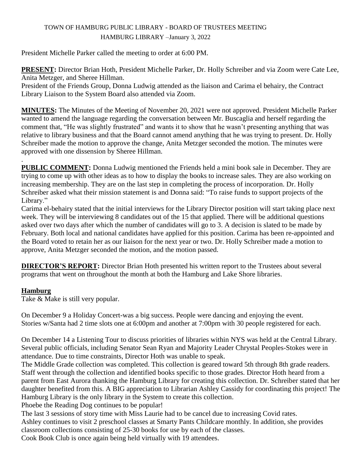## TOWN OF HAMBURG PUBLIC LIBRARY - BOARD OF TRUSTEES MEETING HAMBURG LIBRARY –January 3, 2022

President Michelle Parker called the meeting to order at 6:00 PM.

**PRESENT:** Director Brian Hoth, President Michelle Parker, Dr. Holly Schreiber and via Zoom were Cate Lee, Anita Metzger, and Sheree Hillman.

President of the Friends Group, Donna Ludwig attended as the liaison and Carima el behairy, the Contract Library Liaison to the System Board also attended via Zoom.

**MINUTES:** The Minutes of the Meeting of November 20, 2021 were not approved. President Michelle Parker wanted to amend the language regarding the conversation between Mr. Buscaglia and herself regarding the comment that, "He was slightly frustrated" and wants it to show that he wasn't presenting anything that was relative to library business and that the Board cannot amend anything that he was trying to present. Dr. Holly Schreiber made the motion to approve the change, Anita Metzger seconded the motion. The minutes were approved with one dissension by Sheree Hillman.

. **PUBLIC COMMENT:** Donna Ludwig mentioned the Friends held a mini book sale in December. They are trying to come up with other ideas as to how to display the books to increase sales. They are also working on increasing membership. They are on the last step in completing the process of incorporation. Dr. Holly Schreiber asked what their mission statement is and Donna said: "To raise funds to support projects of the Library."

Carima el-behairy stated that the initial interviews for the Library Director position will start taking place next week. They will be interviewing 8 candidates out of the 15 that applied. There will be additional questions asked over two days after which the number of candidates will go to 3. A decision is slated to be made by February. Both local and national candidates have applied for this position. Carima has been re-appointed and the Board voted to retain her as our liaison for the next year or two. Dr. Holly Schreiber made a motion to approve, Anita Metzger seconded the motion, and the motion passed.

**DIRECTOR'S REPORT:** Director Brian Hoth presented his written report to the Trustees about several programs that went on throughout the month at both the Hamburg and Lake Shore libraries.

## **Hamburg**

Take & Make is still very popular.

On December 9 a Holiday Concert-was a big success. People were dancing and enjoying the event. Stories w/Santa had 2 time slots one at 6:00pm and another at 7:00pm with 30 people registered for each.

On December 14 a Listening Tour to discuss priorities of libraries within NYS was held at the Central Library. Several public officials, including Senator Sean Ryan and Majority Leader Chrystal Peoples-Stokes were in attendance. Due to time constraints, Director Hoth was unable to speak.

The Middle Grade collection was completed. This collection is geared toward 5th through 8th grade readers. Staff went through the collection and identified books specific to those grades. Director Hoth heard from a parent from East Aurora thanking the Hamburg Library for creating this collection. Dr. Schreiber stated that her daughter benefited from this. A BIG appreciation to Librarian Ashley Cassidy for coordinating this project! The Hamburg Library is the only library in the System to create this collection.

Phoebe the Reading Dog continues to be popular!

The last 3 sessions of story time with Miss Laurie had to be cancel due to increasing Covid rates. Ashley continues to visit 2 preschool classes at Smarty Pants Childcare monthly. In addition, she provides classroom collections consisting of 25-30 books for use by each of the classes. Cook Book Club is once again being held virtually with 19 attendees.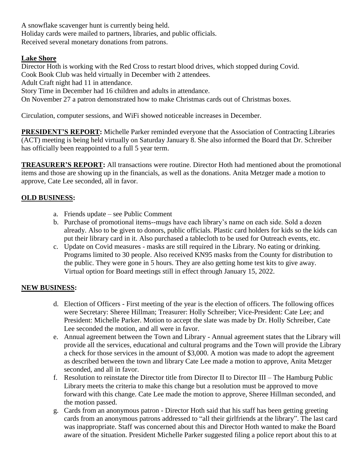A snowflake scavenger hunt is currently being held. Holiday cards were mailed to partners, libraries, and public officials. Received several monetary donations from patrons.

#### **Lake Shore**

Director Hoth is working with the Red Cross to restart blood drives, which stopped during Covid. Cook Book Club was held virtually in December with 2 attendees. Adult Craft night had 11 in attendance. Story Time in December had 16 children and adults in attendance. On November 27 a patron demonstrated how to make Christmas cards out of Christmas boxes.

Circulation, computer sessions, and WiFi showed noticeable increases in December.

**PRESIDENT'S REPORT:** Michelle Parker reminded everyone that the Association of Contracting Libraries (ACT) meeting is being held virtually on Saturday January 8. She also informed the Board that Dr. Schreiber has officially been reappointed to a full 5 year term.

**TREASURER'S REPORT:** All transactions were routine. Director Hoth had mentioned about the promotional items and those are showing up in the financials, as well as the donations. Anita Metzger made a motion to approve, Cate Lee seconded, all in favor.

#### **OLD BUSINESS:**

- a. Friends update see Public Comment
- b. Purchase of promotional items--mugs have each library's name on each side. Sold a dozen already. Also to be given to donors, public officials. Plastic card holders for kids so the kids can put their library card in it. Also purchased a tablecloth to be used for Outreach events, etc.
- c. Update on Covid measures masks are still required in the Library. No eating or drinking. Programs limited to 30 people. Also received KN95 masks from the County for distribution to the public. They were gone in 5 hours. They are also getting home test kits to give away. Virtual option for Board meetings still in effect through January 15, 2022.

## **NEW BUSINESS:**

- d. Election of Officers First meeting of the year is the election of officers. The following offices were Secretary: Sheree Hillman; Treasurer: Holly Schreiber; Vice-President: Cate Lee; and President: Michelle Parker. Motion to accept the slate was made by Dr. Holly Schreiber, Cate Lee seconded the motion, and all were in favor.
- e. Annual agreement between the Town and Library Annual agreement states that the Library will provide all the services, educational and cultural programs and the Town will provide the Library a check for those services in the amount of \$3,000. A motion was made to adopt the agreement as described between the town and library Cate Lee made a motion to approve, Anita Metzger seconded, and all in favor.
- f. Resolution to reinstate the Director title from Director II to Director III The Hamburg Public Library meets the criteria to make this change but a resolution must be approved to move forward with this change. Cate Lee made the motion to approve, Sheree Hillman seconded, and the motion passed.
- g. Cards from an anonymous patron Director Hoth said that his staff has been getting greeting cards from an anonymous patrons addressed to "all their girlfriends at the library". The last card was inappropriate. Staff was concerned about this and Director Hoth wanted to make the Board aware of the situation. President Michelle Parker suggested filing a police report about this to at